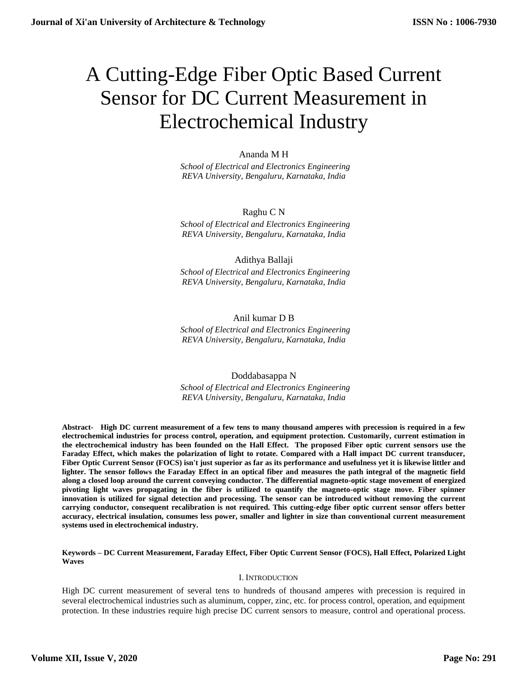# A Cutting-Edge Fiber Optic Based Current Sensor for DC Current Measurement in Electrochemical Industry

# Ananda M H

 *School of Electrical and Electronics Engineering REVA University, Bengaluru, Karnataka, India*

# Raghu C N

 *School of Electrical and Electronics Engineering REVA University, Bengaluru, Karnataka, India*

# Adithya Ballaji

 *School of Electrical and Electronics Engineering REVA University, Bengaluru, Karnataka, India*

# Anil kumar D B

 *School of Electrical and Electronics Engineering REVA University, Bengaluru, Karnataka, India*

# Doddabasappa N

 *School of Electrical and Electronics Engineering REVA University, Bengaluru, Karnataka, India*

**Abstract- High DC current measurement of a few tens to many thousand amperes with precession is required in a few electrochemical industries for process control, operation, and equipment protection. Customarily, current estimation in the electrochemical industry has been founded on the Hall Effect. The proposed Fiber optic current sensors use the Faraday Effect, which makes the polarization of light to rotate. Compared with a Hall impact DC current transducer, Fiber Optic Current Sensor (FOCS) isn't just superior as far as its performance and usefulness yet it is likewise littler and lighter. The sensor follows the Faraday Effect in an optical fiber and measures the path integral of the magnetic field along a closed loop around the current conveying conductor. The differential magneto-optic stage movement of energized pivoting light waves propagating in the fiber is utilized to quantify the magneto-optic stage move. Fiber spinner innovation is utilized for signal detection and processing. The sensor can be introduced without removing the current carrying conductor, consequent recalibration is not required. This cutting-edge fiber optic current sensor offers better accuracy, electrical insulation, consumes less power, smaller and lighter in size than conventional current measurement systems used in electrochemical industry.**

**Keywords – DC Current Measurement, Faraday Effect, Fiber Optic Current Sensor (FOCS), Hall Effect, Polarized Light Waves**

## I. INTRODUCTION

High DC current measurement of several tens to hundreds of thousand amperes with precession is required in several electrochemical industries such as aluminum, copper, zinc, etc. for process control, operation, and equipment protection. In these industries require high precise DC current sensors to measure, control and operational process.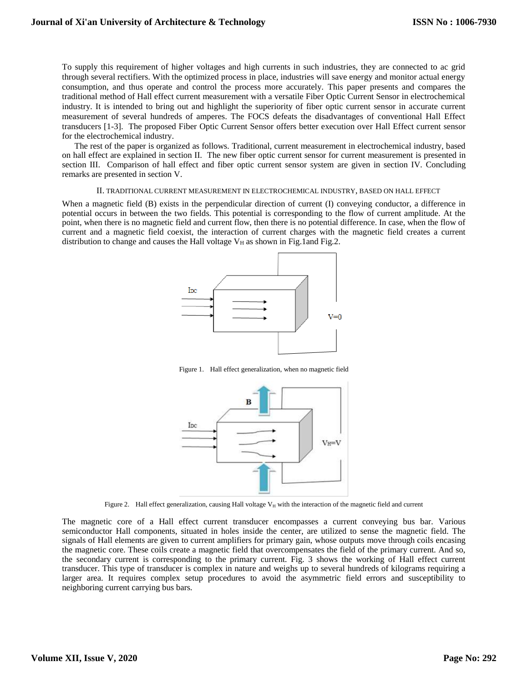To supply this requirement of higher voltages and high currents in such industries, they are connected to ac grid through several rectifiers. With the optimized process in place, industries will save energy and monitor actual energy consumption, and thus operate and control the process more accurately. This paper presents and compares the traditional method of Hall effect current measurement with a versatile Fiber Optic Current Sensor in electrochemical industry. It is intended to bring out and highlight the superiority of fiber optic current sensor in accurate current measurement of several hundreds of amperes. The FOCS defeats the disadvantages of conventional Hall Effect transducers [1-3]. The proposed Fiber Optic Current Sensor offers better execution over Hall Effect current sensor for the electrochemical industry.

The rest of the paper is organized as follows. Traditional, current measurement in electrochemical industry, based on hall effect are explained in section II. The new fiber optic current sensor for current measurement is presented in section III. Comparison of hall effect and fiber optic current sensor system are given in section IV. Concluding remarks are presented in section V.

#### II. TRADITIONAL CURRENT MEASUREMENT IN ELECTROCHEMICAL INDUSTRY, BASED ON HALL EFFECT

When a magnetic field (B) exists in the perpendicular direction of current (I) conveying conductor, a difference in potential occurs in between the two fields. This potential is corresponding to the flow of current amplitude. At the point, when there is no magnetic field and current flow, then there is no potential difference. In case, when the flow of current and a magnetic field coexist, the interaction of current charges with the magnetic field creates a current distribution to change and causes the Hall voltage  $V_H$  as shown in Fig.1and Fig.2.



Figure 1. Hall effect generalization, when no magnetic field



Figure 2. Hall effect generalization, causing Hall voltage  $V_H$  with the interaction of the magnetic field and current

The magnetic core of a Hall effect current transducer encompasses a current conveying bus bar. Various semiconductor Hall components, situated in holes inside the center, are utilized to sense the magnetic field. The signals of Hall elements are given to current amplifiers for primary gain, whose outputs move through coils encasing the magnetic core. These coils create a magnetic field that overcompensates the field of the primary current. And so, the secondary current is corresponding to the primary current. Fig. 3 shows the working of Hall effect current transducer. This type of transducer is complex in nature and weighs up to several hundreds of kilograms requiring a larger area. It requires complex setup procedures to avoid the asymmetric field errors and susceptibility to neighboring current carrying bus bars.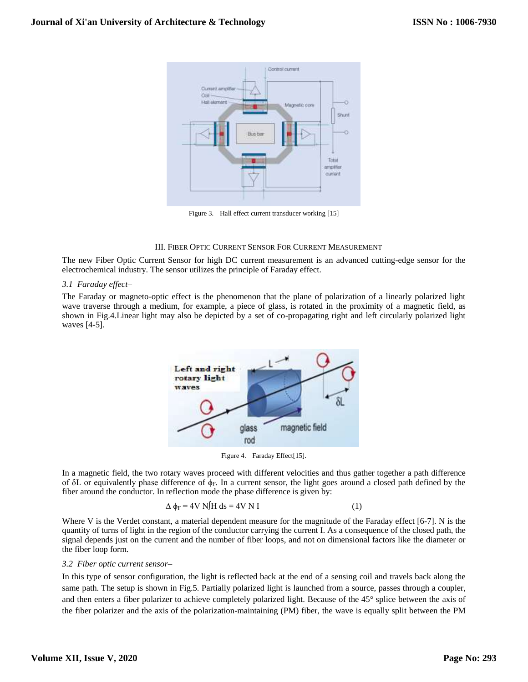

Figure 3. Hall effect current transducer working [15]

### III. FIBER OPTIC CURRENT SENSOR FOR CURRENT MEASUREMENT

The new Fiber Optic Current Sensor for high DC current measurement is an advanced cutting-edge sensor for the electrochemical industry. The sensor utilizes the principle of Faraday effect.

## *3.1 Faraday effect–*

The Faraday or magneto-optic effect is the phenomenon that the plane of polarization of a linearly polarized light wave traverse through a medium, for example, a piece of glass, is rotated in the proximity of a magnetic field, as shown in Fig.4.Linear light may also be depicted by a set of co-propagating right and left circularly polarized light waves [4-5].



Figure 4. Faraday Effect[15].

In a magnetic field, the two rotary waves proceed with different velocities and thus gather together a path difference of δL or equivalently phase difference of  $φ$ F. In a current sensor, the light goes around a closed path defined by the fiber around the conductor. In reflection mode the phase difference is given by:

$$
\Delta \phi_F = 4V \text{ N} / \text{H} \text{ ds} = 4V \text{ N} \text{ I}
$$
 (1)

Where V is the Verdet constant, a material dependent measure for the magnitude of the Faraday effect [6-7]. N is the quantity of turns of light in the region of the conductor carrying the current I. As a consequence of the closed path, the signal depends just on the current and the number of fiber loops, and not on dimensional factors like the diameter or the fiber loop form.

## *3.2 Fiber optic current sensor–*

In this type of sensor configuration, the light is reflected back at the end of a sensing coil and travels back along the same path. The setup is shown in Fig.5. Partially polarized light is launched from a source, passes through a coupler, and then enters a fiber polarizer to achieve completely polarized light. Because of the 45° splice between the axis of the fiber polarizer and the axis of the polarization-maintaining (PM) fiber, the wave is equally split between the PM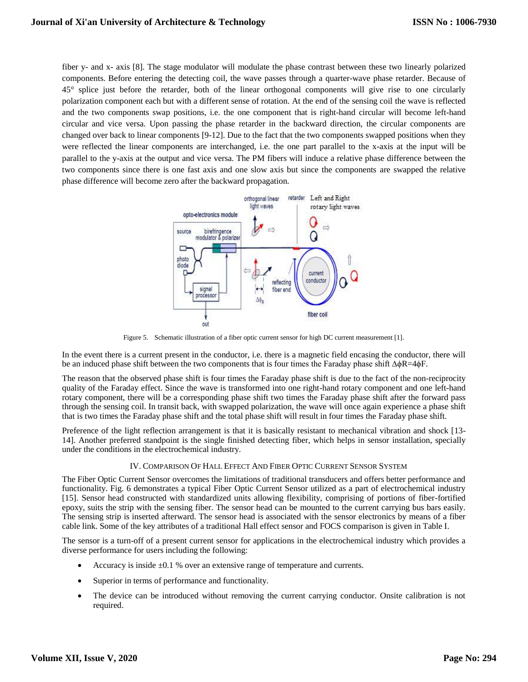fiber y- and x- axis [8]. The stage modulator will modulate the phase contrast between these two linearly polarized components. Before entering the detecting coil, the wave passes through a quarter-wave phase retarder. Because of 45° splice just before the retarder, both of the linear orthogonal components will give rise to one circularly polarization component each but with a different sense of rotation. At the end of the sensing coil the wave is reflected and the two components swap positions, i.e. the one component that is right-hand circular will become left-hand circular and vice versa. Upon passing the phase retarder in the backward direction, the circular components are changed over back to linear components [9-12]. Due to the fact that the two components swapped positions when they were reflected the linear components are interchanged, i.e. the one part parallel to the x-axis at the input will be parallel to the y-axis at the output and vice versa. The PM fibers will induce a relative phase difference between the two components since there is one fast axis and one slow axis but since the components are swapped the relative phase difference will become zero after the backward propagation.



Figure 5. Schematic illustration of a fiber optic current sensor for high DC current measurement [1].

In the event there is a current present in the conductor, i.e. there is a magnetic field encasing the conductor, there will be an induced phase shift between the two components that is four times the Faraday phase shift ∆ϕR=4ϕF.

The reason that the observed phase shift is four times the Faraday phase shift is due to the fact of the non-reciprocity quality of the Faraday effect. Since the wave is transformed into one right-hand rotary component and one left-hand rotary component, there will be a corresponding phase shift two times the Faraday phase shift after the forward pass through the sensing coil. In transit back, with swapped polarization, the wave will once again experience a phase shift that is two times the Faraday phase shift and the total phase shift will result in four times the Faraday phase shift.

Preference of the light reflection arrangement is that it is basically resistant to mechanical vibration and shock [13- 14]. Another preferred standpoint is the single finished detecting fiber, which helps in sensor installation, specially under the conditions in the electrochemical industry.

## IV. COMPARISON OF HALL EFFECT AND FIBER OPTIC CURRENT SENSOR SYSTEM

The Fiber Optic Current Sensor overcomes the limitations of traditional transducers and offers better performance and functionality. Fig. 6 demonstrates a typical Fiber Optic Current Sensor utilized as a part of electrochemical industry [15]. Sensor head constructed with standardized units allowing flexibility, comprising of portions of fiber-fortified epoxy, suits the strip with the sensing fiber. The sensor head can be mounted to the current carrying bus bars easily. The sensing strip is inserted afterward. The sensor head is associated with the sensor electronics by means of a fiber cable link. Some of the key attributes of a traditional Hall effect sensor and FOCS comparison is given in Table I.

The sensor is a turn-off of a present current sensor for applications in the electrochemical industry which provides a diverse performance for users including the following:

- Accuracy is inside ±0.1 % over an extensive range of temperature and currents.
- Superior in terms of performance and functionality.
- The device can be introduced without removing the current carrying conductor. Onsite calibration is not required.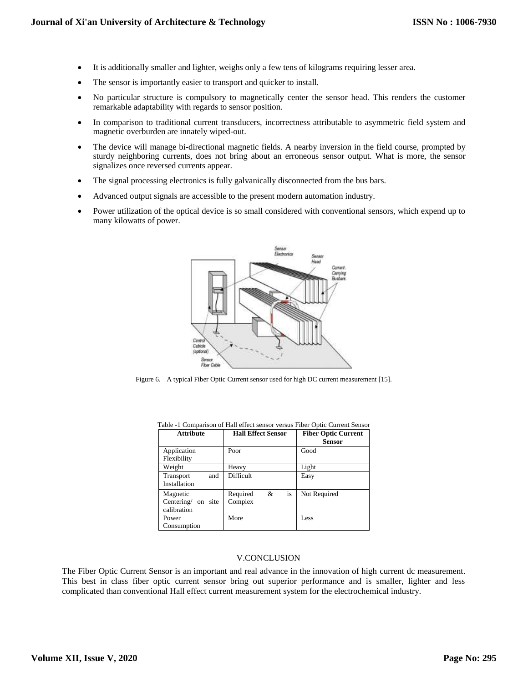- It is additionally smaller and lighter, weighs only a few tens of kilograms requiring lesser area.
- The sensor is importantly easier to transport and quicker to install.
- No particular structure is compulsory to magnetically center the sensor head. This renders the customer remarkable adaptability with regards to sensor position.
- In comparison to traditional current transducers, incorrectness attributable to asymmetric field system and magnetic overburden are innately wiped-out.
- The device will manage bi-directional magnetic fields. A nearby inversion in the field course, prompted by sturdy neighboring currents, does not bring about an erroneous sensor output. What is more, the sensor signalizes once reversed currents appear.
- The signal processing electronics is fully galvanically disconnected from the bus bars.
- Advanced output signals are accessible to the present modern automation industry.
- Power utilization of the optical device is so small considered with conventional sensors, which expend up to many kilowatts of power.



Figure 6. A typical Fiber Optic Current sensor used for high DC current measurement [15].

| <b>Attribute</b>      | <b>Hall Effect Sensor</b> | <b>Fiber Optic Current</b><br>Sensor |
|-----------------------|---------------------------|--------------------------------------|
| Application           | Poor                      | Good                                 |
| Flexibility           |                           |                                      |
| Weight                | Heavy                     | Light                                |
| and<br>Transport      | Difficult                 | Easy                                 |
| Installation          |                           |                                      |
| Magnetic              | is<br>&<br>Required       | Not Required                         |
| Centering/<br>on site | Complex                   |                                      |
| calibration           |                           |                                      |
| Power                 | More                      | Less                                 |
| Consumption           |                           |                                      |

Table -1 Comparison of Hall effect sensor versus Fiber Optic Current Sensor

## V.CONCLUSION

The Fiber Optic Current Sensor is an important and real advance in the innovation of high current dc measurement. This best in class fiber optic current sensor bring out superior performance and is smaller, lighter and less complicated than conventional Hall effect current measurement system for the electrochemical industry.